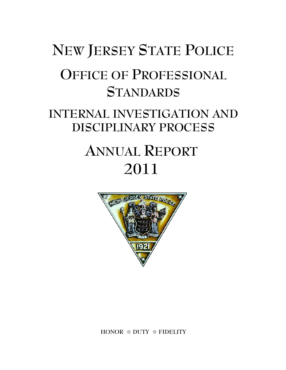# **NEW JERSEY STATE POLICE OFFICE OF PROFESSIONAL STANDARDS INTERNAL INVESTIGATION AND DISCIPLINARY PROCESS ANNUAL REPORT 2011**



**HONOR** j **DUTY** j **FIDELITY**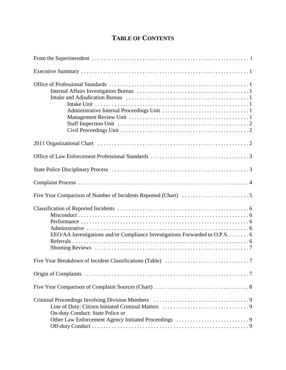# **TABLE OF CONTENTS**

| EEO/AA Investigations and/or Compliance Investigations Forwarded to O.P.S. 6 |
|------------------------------------------------------------------------------|
|                                                                              |
|                                                                              |
|                                                                              |
| On-duty Conduct: State Police or                                             |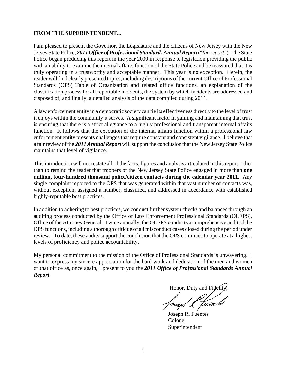#### **FROM THE SUPERINTENDENT...**

I am pleased to present the Governor, the Legislature and the citizens of New Jersey with the New Jersey State Police, *2011 Office of Professional Standards Annual Report* ("*the report*"). The State Police began producing this report in the year 2000 in response to legislation providing the public with an ability to examine the internal affairs function of the State Police and be reassured that it is truly operating in a trustworthy and acceptable manner. This year is no exception. Herein, the reader will find clearly presented topics, including descriptions of the current Office of Professional Standards (OPS) Table of Organization and related office functions, an explanation of the classification process for all reportable incidents, the system by which incidents are addressed and disposed of, and finally, a detailed analysis of the data compiled during 2011.

A law enforcement entity in a democratic society can tie its effectiveness directly to the level of trust it enjoys within the community it serves. A significant factor in gaining and maintaining that trust is ensuring that there is a strict allegiance to a highly professional and transparent internal affairs function. It follows that the execution of the internal affairs function within a professional law enforcement entity presents challenges that require constant and consistent vigilance. I believe that a fair review of the *2011 Annual Report* will support the conclusion that the New Jersey State Police maintains that level of vigilance.

This introduction will not restate all of the facts, figures and analysis articulated in this report, other than to remind the reader that troopers of the New Jersey State Police engaged in more than **one million, four-hundred thousand police/citizen contacts during the calendar year 2011**. Any single complaint reported to the OPS that was generated within that vast number of contacts was, without exception, assigned a number, classified, and addressed in accordance with established highly-reputable best practices.

In addition to adhering to best practices, we conduct further system checks and balances through an auditing process conducted by the Office of Law Enforcement Professional Standards (OLEPS), Office of the Attorney General. Twice annually, the OLEPS conducts a comprehensive audit of the OPS functions, including a thorough critique of all misconduct cases closed during the period under review. To date, these audits support the conclusion that the OPS continues to operate at a highest levels of proficiency and police accountability.

My personal commitment to the mission of the Office of Professional Standards is unwavering. I want to express my sincere appreciation for the hard work and dedication of the men and women of that office as, once again, I present to you the *2011 Office of Professional Standards Annual Report*.

Honor, Duty and Fid

Joseph R. Fuentes

Colonel Superintendent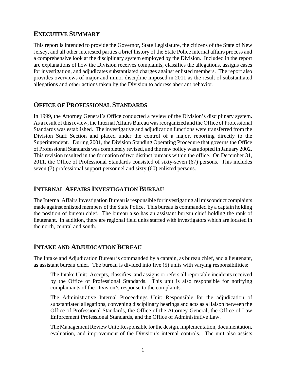# **EXECUTIVE SUMMARY**

This report is intended to provide the Governor, State Legislature, the citizens of the State of New Jersey, and all other interested parties a brief history of the State Police internal affairs process and a comprehensive look at the disciplinary system employed by the Division. Included in the report are explanations of how the Division receives complaints, classifies the allegations, assigns cases for investigation, and adjudicates substantiated charges against enlisted members. The report also provides overviews of major and minor discipline imposed in 2011 as the result of substantiated allegations and other actions taken by the Division to address aberrant behavior.

# **OFFICE OF PROFESSIONAL STANDARDS**

In 1999, the Attorney General's Office conducted a review of the Division's disciplinary system. As a result of this review, the Internal Affairs Bureau was reorganized and the Office of Professional Standards was established. The investigative and adjudication functions were transferred from the Division Staff Section and placed under the control of a major, reporting directly to the Superintendent. During 2001, the Division Standing Operating Procedure that governs the Office of Professional Standards was completely revised, and the new policy was adopted in January 2002. This revision resulted in the formation of two distinct bureaus within the office. On December 31, 2011, the Office of Professional Standards consisted of sixty-seven (67) persons. This includes seven (7) professional support personnel and sixty (60) enlisted persons.

# **INTERNAL AFFAIRS INVESTIGATION BUREAU**

The Internal Affairs Investigation Bureau is responsible for investigating all misconduct complaints made against enlisted members of the State Police. This bureau is commanded by a captain holding the position of bureau chief. The bureau also has an assistant bureau chief holding the rank of lieutenant. In addition, there are regional field units staffed with investigators which are located in the north, central and south.

# **INTAKE AND ADJUDICATION BUREAU**

The Intake and Adjudication Bureau is commanded by a captain, as bureau chief, and a lieutenant, as assistant bureau chief. The bureau is divided into five (5) units with varying responsibilities:

The Intake Unit: Accepts, classifies, and assigns or refers all reportable incidents received by the Office of Professional Standards. This unit is also responsible for notifying complainants of the Division's response to the complaints.

The Administrative Internal Proceedings Unit: Responsible for the adjudication of substantiated allegations, convening disciplinary hearings and acts as a liaison between the Office of Professional Standards, the Office of the Attorney General, the Office of Law Enforcement Professional Standards, and the Office of Administrative Law.

The Management Review Unit: Responsible for the design, implementation, documentation, evaluation, and improvement of the Division's internal controls. The unit also assists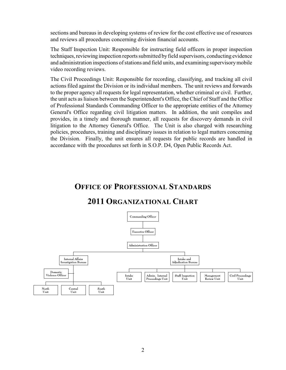sections and bureaus in developing systems of review for the cost effective use of resources and reviews all procedures concerning division financial accounts.

The Staff Inspection Unit: Responsible for instructing field officers in proper inspection techniques, reviewing inspection reports submitted by field supervisors, conducting evidence and administration inspections of stations and field units, and examining supervisory mobile video recording reviews.

The Civil Proceedings Unit: Responsible for recording, classifying, and tracking all civil actions filed against the Division or its individual members. The unit reviews and forwards to the proper agency all requests for legal representation, whether criminal or civil. Further, the unit acts as liaison between the Superintendent's Office, the Chief of Staff and the Office of Professional Standards Commanding Officer to the appropriate entities of the Attorney General's Office regarding civil litigation matters. In addition, the unit compiles and provides, in a timely and thorough manner, all requests for discovery demands in civil litigation to the Attorney General's Office. The Unit is also charged with researching policies, procedures, training and disciplinary issues in relation to legal matters concerning the Division. Finally, the unit ensures all requests for public records are handled in accordance with the procedures set forth in S.O.P. D4, Open Public Records Act.

# **OFFICE OF PROFESSIONAL STANDARDS**

# **2011 ORGANIZATIONAL CHART**

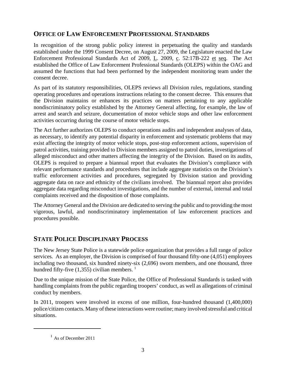# **OFFICE OF LAW ENFORCEMENT PROFESSIONAL STANDARDS**

In recognition of the strong public policy interest in perpetuating the quality and standards established under the 1999 Consent Decree, on August 27, 2009, the Legislature enacted the Law Enforcement Professional Standards Act of 2009, L. 2009, c. 52:17B-222 et seq. The Act established the Office of Law Enforcement Professional Standards (OLEPS) within the OAG and assumed the functions that had been performed by the independent monitoring team under the consent decree.

As part of its statutory responsibilities, OLEPS reviews all Division rules, regulations, standing operating procedures and operations instructions relating to the consent decree. This ensures that the Division maintains or enhances its practices on matters pertaining to any applicable nondiscriminatory policy established by the Attorney General affecting, for example, the law of arrest and search and seizure, documentation of motor vehicle stops and other law enforcement activities occurring during the course of motor vehicle stops.

The Act further authorizes OLEPS to conduct operations audits and independent analyses of data, as necessary, to identify any potential disparity in enforcement and systematic problems that may exist affecting the integrity of motor vehicle stops, post-stop enforcement actions, supervision of patrol activities, training provided to Division members assigned to patrol duties, investigations of alleged misconduct and other matters affecting the integrity of the Division. Based on its audits, OLEPS is required to prepare a biannual report that evaluates the Division's compliance with relevant performance standards and procedures that include aggregate statistics on the Division's traffic enforcement activities and procedures, segregated by Division station and providing aggregate data on race and ethnicity of the civilians involved. The biannual report also provides aggregate data regarding misconduct investigations, and the number of external, internal and total complaints received and the disposition of those complaints.

The Attorney General and the Division are dedicated to serving the public and to providing the most vigorous, lawful, and nondiscriminatory implementation of law enforcement practices and procedures possible.

# **STATE POLICE DISCIPLINARY PROCESS**

The New Jersey State Police is a statewide police organization that provides a full range of police services*.* As an employer, the Division is comprised of four thousand fifty-one (4,051) employees including two thousand, six hundred ninety-six (2,696) sworn members, and one thousand, three hundred fifty-five  $(1,355)$  civilian members.<sup>1</sup>

Due to the unique mission of the State Police, the Office of Professional Standards is tasked with handling complaints from the public regarding troopers' conduct, as well as allegations of criminal conduct by members.

In 2011, troopers were involved in excess of one million, four-hundred thousand (1,400,000) police/citizen contacts. Many of these interactions were routine; many involved stressful and critical situations.

**<sup>1</sup>** As of December 2011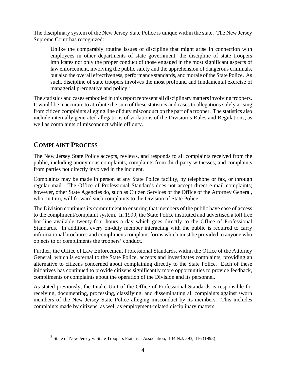The disciplinary system of the New Jersey State Police is unique within the state. The New Jersey Supreme Court has recognized:

Unlike the comparably routine issues of discipline that might arise in connection with employees in other departments of state government, the discipline of state troopers implicates not only the proper conduct of those engaged in the most significant aspects of law enforcement, involving the public safety and the apprehension of dangerous criminals, but also the overall effectiveness, performance standards, and morale of the State Police. As such, discipline of state troopers involves the most profound and fundamental exercise of managerial prerogative and policy.<sup>2</sup>

The statistics and cases embodied in this report represent all disciplinary matters involving troopers. It would be inaccurate to attribute the sum of these statistics and cases to allegations solely arising from citizen complaints alleging line of duty misconduct on the part of a trooper. The statistics also include internally generated allegations of violations of the Division's Rules and Regulations, as well as complaints of misconduct while off duty.

# **COMPLAINT PROCESS**

The New Jersey State Police accepts, reviews, and responds to all complaints received from the public, including anonymous complaints, complaints from third-party witnesses, and complaints from parties not directly involved in the incident.

Complaints may be made in person at any State Police facility, by telephone or fax, or through regular mail. The Office of Professional Standards does not accept direct e-mail complaints; however, other State Agencies do, such as Citizen Services of the Office of the Attorney General, who, in turn, will forward such complaints to the Division of State Police.

The Division continues its commitment to ensuring that members of the public have ease of access to the compliment/complaint system. In 1999, the State Police instituted and advertised a toll free hot line available twenty-four hours a day which goes directly to the Office of Professional Standards. In addition, every on-duty member interacting with the public is required to carry informational brochures and compliment/complaint forms which must be provided to anyone who objects to or compliments the troopers' conduct.

Further, the Office of Law Enforcement Professional Standards, within the Office of the Attorney General, which is external to the State Police, accepts and investigates complaints, providing an alternative to citizens concerned about complaining directly to the State Police. Each of these initiatives has continued to provide citizens significantly more opportunities to provide feedback, compliments or complaints about the operation of the Division and its personnel.

As stated previously, the Intake Unit of the Office of Professional Standards is responsible for receiving, documenting, processing, classifying, and disseminating all complaints against sworn members of the New Jersey State Police alleging misconduct by its members. This includes complaints made by citizens, as well as employment-related disciplinary matters.

<sup>&</sup>lt;sup>2</sup> State of New Jersey v. State Troopers Fraternal Association, 134 N.J. 393, 416 (1993)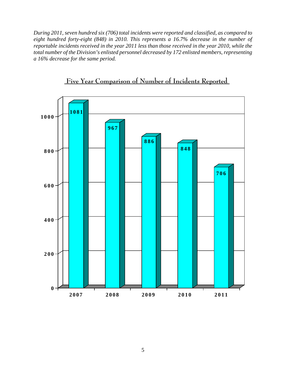*During 2011, seven hundred six (706) total incidents were reported and classified, as compared to eight hundred forty-eight (848) in 2010. This represents a 16.7% decrease in the number of reportable incidents received in the year 2011 less than those received in the year 2010, while the total number of the Division's enlisted personnel decreased by 172 enlisted members, representing a 16% decrease for the same period.*



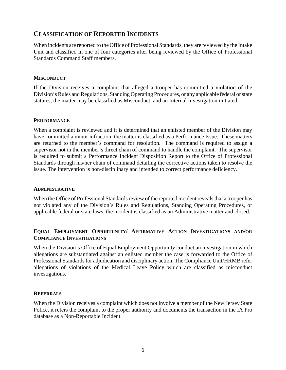## **CLASSIFICATION OF REPORTED INCIDENTS**

When incidents are reported to the Office of Professional Standards, they are reviewed by the Intake Unit and classified in one of four categories after being reviewed by the Office of Professional Standards Command Staff members.

#### **MISCONDUCT**

If the Division receives a complaint that alleged a trooper has committed a violation of the Division's Rules and Regulations, Standing Operating Procedures, or any applicable federal or state statutes, the matter may be classified as Misconduct, and an Internal Investigation initiated.

#### **PERFORMANCE**

When a complaint is reviewed and it is determined that an enlisted member of the Division may have committed a minor infraction, the matter is classified as a Performance Issue. These matters are returned to the member's command for resolution. The command is required to assign a supervisor not in the member's direct chain of command to handle the complaint. The supervisor is required to submit a Performance Incident Disposition Report to the Office of Professional Standards through his/her chain of command detailing the corrective actions taken to resolve the issue. The intervention is non-disciplinary and intended to correct performance deficiency.

#### **ADMINISTRATIVE**

When the Office of Professional Standards review of the reported incident reveals that a trooper has not violated any of the Division's Rules and Regulations, Standing Operating Procedures, or applicable federal or state laws, the incident is classified as an Administrative matter and closed.

#### **EQUAL EMPLOYMENT OPPORTUNITY/ AFFIRMATIVE ACTION INVESTIGATIONS AND/OR COMPLIANCE INVESTIGATIONS**

When the Division's Office of Equal Employment Opportunity conduct an investigation in which allegations are substantiated against an enlisted member the case is forwarded to the Office of Professional Standards for adjudication and disciplinary action. The Compliance Unit/HRMB refer allegations of violations of the Medical Leave Policy which are classified as misconduct investigations.

#### **REFERRALS**

When the Division receives a complaint which does not involve a member of the New Jersey State Police, it refers the complaint to the proper authority and documents the transaction in the IA Pro database as a Non-Reportable Incident.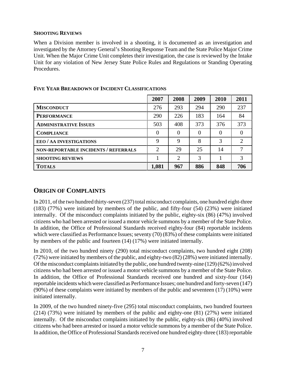#### **SHOOTING REVIEWS**

When a Division member is involved in a shooting, it is documented as an investigation and investigated by the Attorney General's Shooting Response Team and the State Police Major Crime Unit. When the Major Crime Unit completes their investigation, the case is reviewed by the Intake Unit for any violation of New Jersey State Police Rules and Regulations or Standing Operating Procedures.

|                                      | 2007           | 2008           | 2009     | 2010     | 2011         |
|--------------------------------------|----------------|----------------|----------|----------|--------------|
| <b>MISCONDUCT</b>                    | 276            | 293            | 294      | 290      | 237          |
| <b>PERFORMANCE</b>                   | 290            | 226            | 183      | 164      | 84           |
| <b>ADMINISTRATIVE ISSUES</b>         | 503            | 408            | 373      | 376      | 373          |
| <b>COMPLIANCE</b>                    | $\theta$       | $\Omega$       | $\theta$ | $\Omega$ | $\mathbf{0}$ |
| EEO / AA INVESTIGATIONS              | 9              | 9              | 8        | 3        | 2            |
| NON-REPORTABLE INCIDENTS / REFERRALS | $\overline{2}$ | 29             | 25       | 14       | 7            |
| <b>SHOOTING REVIEWS</b>              |                | $\overline{2}$ | 3        |          | 3            |
| <b>TOTALS</b>                        | 1,081          | 967            | 886      | 848      | 706          |

#### **FIVE YEAR BREAKDOWN OF INCIDENT CLASSIFICATIONS**

# **ORIGIN OF COMPLAINTS**

In 2011, of the two hundred thirty-seven (237) total misconduct complaints, one hundred eight-three (183) (77%) were initiated by members of the public, and fifty-four (54) (23%) were initiated internally. Of the misconduct complaints initiated by the public, eighty-six (86) (47%) involved citizens who had been arrested or issued a motor vehicle summons by a member of the State Police. In addition, the Office of Professional Standards received eighty-four (84) reportable incidents which were classified as Performance Issues; seventy (70) (83%) of these complaints were initiated by members of the public and fourteen (14) (17%) were initiated internally.

In 2010, of the two hundred ninety (290) total misconduct complaints, two hundred eight (208) (72%) were initiated by members of the public, and eighty-two (82) (28%) were initiated internally. Of the misconduct complaints initiated by the public, one hundred twenty-nine (129) (62%) involved citizens who had been arrested or issued a motor vehicle summons by a member of the State Police. In addition, the Office of Professional Standards received one hundred and sixty-four (164) reportable incidents which were classified as Performance Issues; one hundred and forty-seven (147) (90%) of these complaints were initiated by members of the public and seventeen (17) (10%) were initiated internally.

In 2009, of the two hundred ninety-five (295) total misconduct complaints, two hundred fourteen (214) (73%) were initiated by members of the public and eighty-one (81) (27%) were initiated internally. Of the misconduct complaints initiated by the public, eighty-six (86) (40%) involved citizens who had been arrested or issued a motor vehicle summons by a member of the State Police. In addition, the Office of Professional Standards received one hundred eighty-three (183) reportable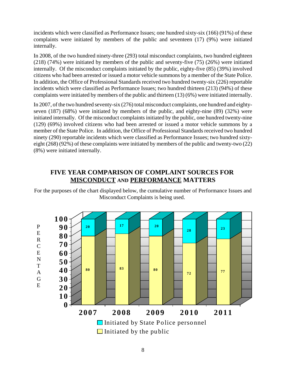incidents which were classified as Performance Issues; one hundred sixty-six (166) (91%) of these complaints were initiated by members of the public and seventeen (17) (9%) were initiated internally.

In 2008, of the two hundred ninety-three (293) total misconduct complaints, two hundred eighteen (218) (74%) were initiated by members of the public and seventy-five (75) (26%) were initiated internally. Of the misconduct complaints initiated by the public, eighty-five (85) (39%) involved citizens who had been arrested or issued a motor vehicle summons by a member of the State Police. In addition, the Office of Professional Standards received two hundred twenty-six (226) reportable incidents which were classified as Performance Issues; two hundred thirteen (213) (94%) of these complaints were initiated by members of the public and thirteen (13) (6%) were initiated internally.

In 2007, of the two hundred seventy-six (276) total misconduct complaints, one hundred and eightyseven (187) (68%) were initiated by members of the public, and eighty-nine (89) (32%) were initiated internally. Of the misconduct complaints initiated by the public, one hundred twenty-nine (129) (69%) involved citizens who had been arrested or issued a motor vehicle summons by a member of the State Police. In addition, the Office of Professional Standards received two hundred ninety (290) reportable incidents which were classified as Performance Issues; two hundred sixtyeight (268) (92%) of these complaints were initiated by members of the public and twenty-two (22) (8%) were initiated internally.

# **FIVE YEAR COMPARISON OF COMPLAINT SOURCES FOR MISCONDUCT AND PERFORMANCE MATTERS**

For the purposes of the chart displayed below, the cumulative number of Performance Issues and Misconduct Complaints is being used.

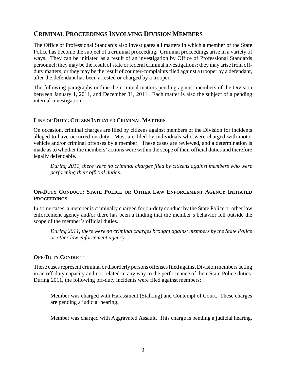# **CRIMINAL PROCEEDINGS INVOLVING DIVISION MEMBERS**

The Office of Professional Standards also investigates all matters in which a member of the State Police has become the subject of a criminal proceeding. Criminal proceedings arise in a variety of ways. They can be initiated as a result of an investigation by Office of Professional Standards personnel; they may be the result of state or federal criminal investigations; they may arise from offduty matters; or they may be the result of counter-complaints filed against a trooper by a defendant, after the defendant has been arrested or charged by a trooper.

The following paragraphs outline the criminal matters pending against members of the Division between January 1, 2011, and December 31, 2011. Each matter is also the subject of a pending internal investigation.

#### **LINE OF DUTY: CITIZEN INITIATED CRIMINAL MATTERS**

On occasion, criminal charges are filed by citizens against members of the Division for incidents alleged to have occurred on-duty. Most are filed by individuals who were charged with motor vehicle and/or criminal offenses by a member. These cases are reviewed, and a determination is made as to whether the members' actions were within the scope of their official duties and therefore legally defendable.

*During 2011, there were no criminal charges filed by citizens against members who were performing their official duties.*

#### **ON-DUTY CONDUCT: STATE POLICE OR OTHER LAW ENFORCEMENT AGENCY INITIATED PROCEEDINGS**

In some cases, a member is criminally charged for on-duty conduct by the State Police or other law enforcement agency and/or there has been a finding that the member's behavior fell outside the scope of the member's official duties.

*During 2011, there were no criminal charges brought against members by the State Police or other law enforcement agency.*

#### **OFF-DUTY CONDUCT**

These cases represent criminal or disorderly persons offenses filed against Division members acting in an off-duty capacity and not related in any way to the performance of their State Police duties. During 2011, the following off-duty incidents were filed against members:

Member was charged with Harassment (Stalking) and Contempt of Court. These charges are pending a judicial hearing.

Member was charged with Aggravated Assault. This charge is pending a judicial hearing.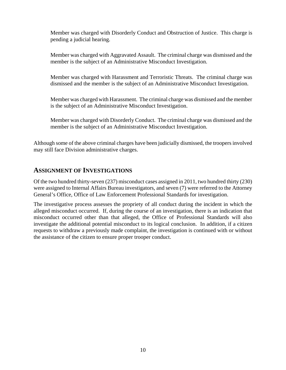Member was charged with Disorderly Conduct and Obstruction of Justice. This charge is pending a judicial hearing.

Member was charged with Aggravated Assault. The criminal charge was dismissed and the member is the subject of an Administrative Misconduct Investigation.

Member was charged with Harassment and Terroristic Threats. The criminal charge was dismissed and the member is the subject of an Administrative Misconduct Investigation.

Member was charged with Harassment. The criminal charge was dismissed and the member is the subject of an Administrative Misconduct Investigation.

Member was charged with Disorderly Conduct. The criminal charge was dismissed and the member is the subject of an Administrative Misconduct Investigation.

Although some of the above criminal charges have been judicially dismissed, the troopers involved may still face Division administrative charges.

# **ASSIGNMENT OF INVESTIGATIONS**

Of the two hundred thirty-seven (237) misconduct cases assigned in 2011, two hundred thirty (230) were assigned to Internal Affairs Bureau investigators, and seven (7) were referred to the Attorney General's Office, Office of Law Enforcement Professional Standards for investigation.

The investigative process assesses the propriety of all conduct during the incident in which the alleged misconduct occurred. If, during the course of an investigation, there is an indication that misconduct occurred other than that alleged, the Office of Professional Standards will also investigate the additional potential misconduct to its logical conclusion. In addition, if a citizen requests to withdraw a previously made complaint, the investigation is continued with or without the assistance of the citizen to ensure proper trooper conduct.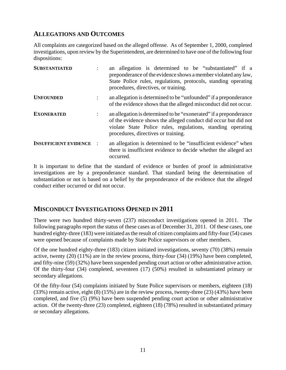# **ALLEGATIONS AND OUTCOMES**

All complaints are categorized based on the alleged offense. As of September 1, 2000, completed investigations, upon review by the Superintendent, are determined to have one of the following four dispositions:

| <b>SUBSTANTIATED</b>         |                      | an allegation is determined to be "substantiated" if a<br>preponderance of the evidence shows a member violated any law,<br>State Police rules, regulations, protocols, standing operating<br>procedures, directives, or training.         |  |  |  |
|------------------------------|----------------------|--------------------------------------------------------------------------------------------------------------------------------------------------------------------------------------------------------------------------------------------|--|--|--|
| <b>UNFOUNDED</b>             |                      | an allegation is determined to be "unfounded" if a preponderance<br>of the evidence shows that the alleged misconduct did not occur.                                                                                                       |  |  |  |
| <b>EXONERATED</b>            | $\ddot{\phantom{a}}$ | an allegation is determined to be "exonerated" if a preponderance<br>of the evidence shows the alleged conduct did occur but did not<br>violate State Police rules, regulations, standing operating<br>procedures, directives or training. |  |  |  |
| <b>INSUFFICIENT EVIDENCE</b> |                      | an allegation is determined to be "insufficient evidence" when<br>there is insufficient evidence to decide whether the alleged act<br>occurred.                                                                                            |  |  |  |

It is important to define that the standard of evidence or burden of proof in administrative investigations are by a preponderance standard. That standard being the determination of substantiation or not is based on a belief by the preponderance of the evidence that the alleged conduct either occurred or did not occur.

# **MISCONDUCT INVESTIGATIONS OPENED IN 2011**

There were two hundred thirty-seven (237) misconduct investigations opened in 2011. The following paragraphs report the status of these cases as of December 31, 2011. Of these cases, one hundred eighty-three (183) were initiated as the result of citizen complaints and fifty-four (54) cases were opened because of complaints made by State Police supervisors or other members.

Of the one hundred eighty-three (183) citizen initiated investigations, seventy (70) (38%) remain active, twenty (20) (11%) are in the review process, thirty-four (34) (19%) have been completed, and fifty-nine (59) (32%) have been suspended pending court action or other administrative action. Of the thirty-four (34) completed, seventeen (17) (50%) resulted in substantiated primary or secondary allegations.

Of the fifty-four (54) complaints initiated by State Police supervisors or members, eighteen (18) (33%) remain active, eight (8) (15%) are in the review process, twenty-three (23) (43%) have been completed, and five (5) (9%) have been suspended pending court action or other administrative action. Of the twenty-three (23) completed, eighteen (18) (78%) resulted in substantiated primary or secondary allegations.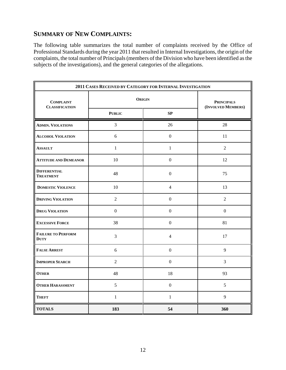# **SUMMARY OF NEW COMPLAINTS:**

The following table summarizes the total number of complaints received by the Office of Professional Standards during the year 2011 that resulted in Internal Investigations, the origin of the complaints, the total number of Principals (members of the Division who have been identified as the subjects of the investigations), and the general categories of the allegations.

| 2011 CASES RECEIVED BY CATEGORY FOR INTERNAL INVESTIGATION |                  |                                         |                |  |  |
|------------------------------------------------------------|------------------|-----------------------------------------|----------------|--|--|
| <b>COMPLAINT</b><br><b>CLASSIFICATION</b>                  | <b>ORIGIN</b>    | <b>PRINCIPALS</b><br>(INVOLVED MEMBERS) |                |  |  |
|                                                            | <b>PUBLIC</b>    |                                         |                |  |  |
| <b>ADMIN. VIOLATIONS</b>                                   | $\overline{3}$   | 26                                      | 28             |  |  |
| <b>ALCOHOL VIOLATION</b>                                   | 6                | $\mathbf{0}$                            | 11             |  |  |
| <b>ASSAULT</b>                                             | $\mathbf{1}$     | $\mathbf{1}$                            | $\overline{2}$ |  |  |
| <b>ATTITUDE AND DEMEANOR</b>                               | 10               | $\boldsymbol{0}$                        | 12             |  |  |
| <b>DIFFERENTIAL</b><br><b>TREATMENT</b>                    | 48               | $\boldsymbol{0}$                        | 75             |  |  |
| <b>DOMESTIC VIOLENCE</b>                                   | 10               | $\overline{4}$                          | 13             |  |  |
| <b>DRIVING VIOLATION</b>                                   | 2                | $\boldsymbol{0}$                        | 2              |  |  |
| <b>DRUG VIOLATION</b>                                      | $\boldsymbol{0}$ | $\boldsymbol{0}$                        | $\mathbf{0}$   |  |  |
| <b>EXCESSIVE FORCE</b>                                     | 38               | $\boldsymbol{0}$                        | 81             |  |  |
| <b>FAILURE TO PERFORM</b><br><b>DUTY</b>                   | 3                | $\overline{4}$                          | 17             |  |  |
| <b>FALSE ARREST</b>                                        | 6                | $\boldsymbol{0}$                        | 9              |  |  |
| <b>IMPROPER SEARCH</b>                                     | $\overline{2}$   | $\boldsymbol{0}$                        | $\overline{3}$ |  |  |
| <b>OTHER</b>                                               | 48               | 18                                      | 93             |  |  |
| <b>OTHER HARASSMENT</b>                                    | 5                | $\boldsymbol{0}$                        | 5              |  |  |
| <b>THEFT</b>                                               | $\mathbf{1}$     | $\mathbf{1}$                            | 9              |  |  |
| <b>TOTALS</b>                                              | 183              | 54                                      | 360            |  |  |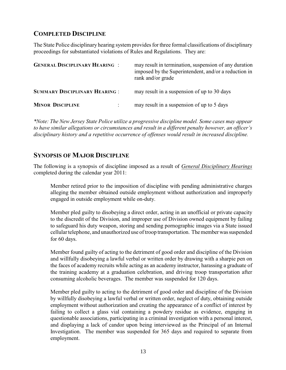# **COMPLETED DISCIPLINE**

The State Police disciplinary hearing system provides for three formal classifications of disciplinary proceedings for substantiated violations of Rules and Regulations. They are:

| <b>GENERAL DISCIPLINARY HEARING :</b> | may result in termination, suspension of any duration<br>imposed by the Superintendent, and/or a reduction in<br>rank and/or grade |
|---------------------------------------|------------------------------------------------------------------------------------------------------------------------------------|
| <b>SUMMARY DISCIPLINARY HEARING:</b>  | may result in a suspension of up to 30 days                                                                                        |
| <b>MINOR DISCIPLINE</b>               | may result in a suspension of up to 5 days                                                                                         |

*\*Note: The New Jersey State Police utilize a progressive discipline model. Some cases may appear to have similar allegations or circumstances and result in a different penalty however, an officer's disciplinary history and a repetitive occurrence of offenses would result in increased discipline.*

### **SYNOPSIS OF MAJOR DISCIPLINE**

The following is a synopsis of discipline imposed as a result of *General Disciplinary Hearings* completed during the calendar year 2011:

Member retired prior to the imposition of discipline with pending administrative charges alleging the member obtained outside employment without authorization and improperly engaged in outside employment while on-duty.

Member pled guilty to disobeying a direct order, acting in an unofficial or private capacity to the discredit of the Division, and improper use of Division owned equipment by failing to safeguard his duty weapon, storing and sending pornographic images via a State issued cellular telephone, and unauthorized use of troop transportation. The member was suspended for 60 days.

Member found guilty of acting to the detriment of good order and discipline of the Division and willfully disobeying a lawful verbal or written order by drawing with a sharpie pen on the faces of academy recruits while acting as an academy instructor, harassing a graduate of the training academy at a graduation celebration, and driving troop transportation after consuming alcoholic beverages. The member was suspended for 120 days.

Member pled guilty to acting to the detriment of good order and discipline of the Division by willfully disobeying a lawful verbal or written order, neglect of duty, obtaining outside employment without authorization and creating the appearance of a conflict of interest by failing to collect a glass vial containing a powdery residue as evidence, engaging in questionable associations, participating in a criminal investigation with a personal interest, and displaying a lack of candor upon being interviewed as the Principal of an Internal Investigation. The member was suspended for 365 days and required to separate from employment.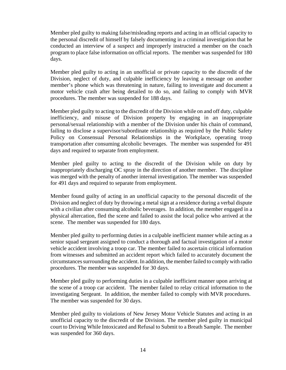Member pled guilty to making false/misleading reports and acting in an official capacity to the personal discredit of himself by falsely documenting in a criminal investigation that he conducted an interview of a suspect and improperly instructed a member on the coach program to place false information on official reports. The member was suspended for 180 days.

Member pled guilty to acting in an unofficial or private capacity to the discredit of the Division, neglect of duty, and culpable inefficiency by leaving a message on another member's phone which was threatening in nature, failing to investigate and document a motor vehicle crash after being detailed to do so, and failing to comply with MVR procedures. The member was suspended for 188 days.

Member pled guilty to acting to the discredit of the Division while on and off duty, culpable inefficiency, and misuse of Division property by engaging in an inappropriate personal/sexual relationship with a member of the Division under his chain of command, failing to disclose a supervisor/subordinate relationship as required by the Public Safety Policy on Consensual Personal Relationships in the Workplace, operating troop transportation after consuming alcoholic beverages. The member was suspended for 491 days and required to separate from employment.

Member pled guilty to acting to the discredit of the Division while on duty by inappropriately discharging OC spray in the direction of another member. The discipline was merged with the penalty of another internal investigation. The member was suspended for 491 days and required to separate from employment.

Member found guilty of acting in an unofficial capacity to the personal discredit of the Division and neglect of duty by throwing a metal sign at a residence during a verbal dispute with a civilian after consuming alcoholic beverages. In addition, the member engaged in a physical altercation, fled the scene and failed to assist the local police who arrived at the scene. The member was suspended for 180 days.

Member pled guilty to performing duties in a culpable inefficient manner while acting as a senior squad sergeant assigned to conduct a thorough and factual investigation of a motor vehicle accident involving a troop car. The member failed to ascertain critical information from witnesses and submitted an accident report which failed to accurately document the circumstances surrounding the accident. In addition, the member failed to comply with radio procedures. The member was suspended for 30 days.

Member pled guilty to performing duties in a culpable inefficient manner upon arriving at the scene of a troop car accident. The member failed to relay critical information to the investigating Sergeant. In addition, the member failed to comply with MVR procedures. The member was suspended for 30 days.

Member pled guilty to violations of New Jersey Motor Vehicle Statutes and acting in an unofficial capacity to the discredit of the Division. The member pled guilty in municipal court to Driving While Intoxicated and Refusal to Submit to a Breath Sample. The member was suspended for 360 days.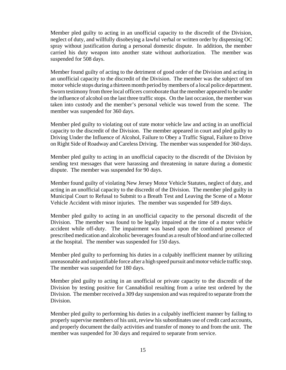Member pled guilty to acting in an unofficial capacity to the discredit of the Division, neglect of duty, and willfully disobeying a lawful verbal or written order by dispensing OC spray without justification during a personal domestic dispute. In addition, the member carried his duty weapon into another state without authorization. The member was suspended for 508 days.

Member found guilty of acting to the detriment of good order of the Division and acting in an unofficial capacity to the discredit of the Division. The member was the subject of ten motor vehicle stops during a thirteen month period by members of a local police department. Sworn testimony from three local officers corroborate that the member appeared to be under the influence of alcohol on the last three traffic stops. On the last occasion, the member was taken into custody and the member's personal vehicle was towed from the scene. The member was suspended for 360 days.

Member pled guilty to violating out of state motor vehicle law and acting in an unofficial capacity to the discredit of the Division. The member appeared in court and pled guilty to Driving Under the Influence of Alcohol, Failure to Obey a Traffic Signal, Failure to Drive on Right Side of Roadway and Careless Driving. The member was suspended for 360 days.

Member pled guilty to acting in an unofficial capacity to the discredit of the Division by sending text messages that were harassing and threatening in nature during a domestic dispute. The member was suspended for 90 days.

Member found guilty of violating New Jersey Motor Vehicle Statutes, neglect of duty, and acting in an unofficial capacity to the discredit of the Division. The member pled guilty in Municipal Court to Refusal to Submit to a Breath Test and Leaving the Scene of a Motor Vehicle Accident with minor injuries. The member was suspended for 589 days.

Member pled guilty to acting in an unofficial capacity to the personal discredit of the Division. The member was found to be legally impaired at the time of a motor vehicle accident while off-duty. The impairment was based upon the combined presence of prescribed medication and alcoholic beverages found as a result of blood and urine collected at the hospital. The member was suspended for 150 days.

Member pled guilty to performing his duties in a culpably inefficient manner by utilizing unreasonable and unjustifiable force after a high speed pursuit and motor vehicle traffic stop. The member was suspended for 180 days.

Member pled guilty to acting in an unofficial or private capacity to the discredit of the Division by testing positive for Cannabidiol resulting from a urine test ordered by the Division. The member received a 309 day suspension and was required to separate from the Division.

Member pled guilty to performing his duties in a culpably inefficient manner by failing to properly supervise members of his unit, review his subordinates use of credit card accounts, and properly document the daily activities and transfer of money to and from the unit. The member was suspended for 30 days and required to separate from service.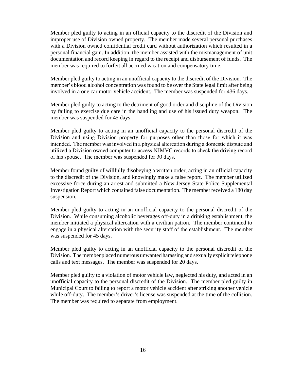Member pled guilty to acting in an official capacity to the discredit of the Division and improper use of Division owned property. The member made several personal purchases with a Division owned confidential credit card without authorization which resulted in a personal financial gain. In addition, the member assisted with the mismanagement of unit documentation and record keeping in regard to the receipt and disbursement of funds. The member was required to forfeit all accrued vacation and compensatory time.

Member pled guilty to acting in an unofficial capacity to the discredit of the Division. The member's blood alcohol concentration was found to be over the State legal limit after being involved in a one car motor vehicle accident. The member was suspended for 436 days.

Member pled guilty to acting to the detriment of good order and discipline of the Division by failing to exercise due care in the handling and use of his issued duty weapon. The member was suspended for 45 days.

Member pled guilty to acting in an unofficial capacity to the personal discredit of the Division and using Division property for purposes other than those for which it was intended. The member was involved in a physical altercation during a domestic dispute and utilized a Division owned computer to access NJMVC records to check the driving record of his spouse. The member was suspended for 30 days.

Member found guilty of willfully disobeying a written order, acting in an official capacity to the discredit of the Division, and knowingly make a false report. The member utilized excessive force during an arrest and submitted a New Jersey State Police Supplemental Investigation Report which contained false documentation. The member received a 180 day suspension.

Member pled guilty to acting in an unofficial capacity to the personal discredit of the Division. While consuming alcoholic beverages off-duty in a drinking establishment, the member initiated a physical altercation with a civilian patron. The member continued to engage in a physical altercation with the security staff of the establishment. The member was suspended for 45 days.

Member pled guilty to acting in an unofficial capacity to the personal discredit of the Division. The member placed numerous unwanted harassing and sexually explicit telephone calls and text messages. The member was suspended for 20 days.

Member pled guilty to a violation of motor vehicle law, neglected his duty, and acted in an unofficial capacity to the personal discredit of the Division. The member pled guilty in Municipal Court to failing to report a motor vehicle accident after striking another vehicle while off-duty. The member's driver's license was suspended at the time of the collision. The member was required to separate from employment.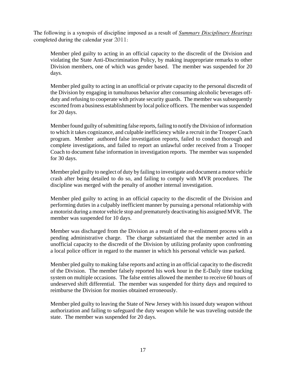The following is a synopsis of discipline imposed as a result of *Summary Disciplinary Hearings* completed during the calendar year 2011:

Member pled guilty to acting in an official capacity to the discredit of the Division and violating the State Anti-Discrimination Policy, by making inappropriate remarks to other Division members, one of which was gender based. The member was suspended for 20 days.

Member pled guilty to acting in an unofficial or private capacity to the personal discredit of the Division by engaging in tumultuous behavior after consuming alcoholic beverages offduty and refusing to cooperate with private security guards. The member was subsequently escorted from a business establishment by local police officers. The member was suspended for 20 days.

Member found guilty of submitting false reports, failing to notify the Division of information to which it takes cognizance, and culpable inefficiency while a recruit in the Trooper Coach program. Member authored false investigation reports, failed to conduct thorough and complete investigations, and failed to report an unlawful order received from a Trooper Coach to document false information in investigation reports. The member was suspended for 30 days.

Member pled guilty to neglect of duty by failing to investigate and document a motor vehicle crash after being detailed to do so, and failing to comply with MVR procedures. The discipline was merged with the penalty of another internal investigation.

Member pled guilty to acting in an official capacity to the discredit of the Division and performing duties in a culpably inefficient manner by pursuing a personal relationship with a motorist during a motor vehicle stop and prematurely deactivating his assigned MVR. The member was suspended for 10 days.

Member was discharged from the Division as a result of the re-enlistment process with a pending administrative charge. The charge substantiated that the member acted in an unofficial capacity to the discredit of the Division by utilizing profanity upon confronting a local police officer in regard to the manner in which his personal vehicle was parked.

Member pled guilty to making false reports and acting in an official capacity to the discredit of the Division. The member falsely reported his work hour in the E-Daily time tracking system on multiple occasions. The false entries allowed the member to receive 60 hours of undeserved shift differential. The member was suspended for thirty days and required to reimburse the Division for monies obtained erroneously.

Member pled guilty to leaving the State of New Jersey with his issued duty weapon without authorization and failing to safeguard the duty weapon while he was traveling outside the state. The member was suspended for 20 days.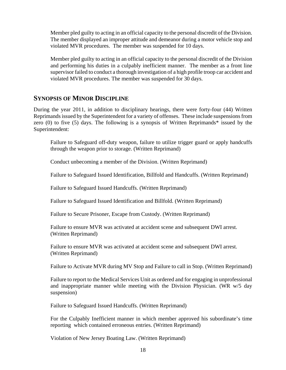Member pled guilty to acting in an official capacity to the personal discredit of the Division. The member displayed an improper attitude and demeanor during a motor vehicle stop and violated MVR procedures. The member was suspended for 10 days.

Member pled guilty to acting in an official capacity to the personal discredit of the Division and performing his duties in a culpably inefficient manner. The member as a front line supervisor failed to conduct a thorough investigation of a high profile troop car accident and violated MVR procedures. The member was suspended for 30 days.

# **SYNOPSIS OF MINOR DISCIPLINE**

During the year 2011, in addition to disciplinary hearings, there were forty-four (44) Written Reprimands issued by the Superintendent for a variety of offenses. These include suspensions from zero (0) to five (5) days. The following is a synopsis of Written Reprimands\* issued by the Superintendent:

Failure to Safeguard off-duty weapon, failure to utilize trigger guard or apply handcuffs through the weapon prior to storage. (Written Reprimand)

Conduct unbecoming a member of the Division. (Written Reprimand)

Failure to Safeguard Issued Identification, Billfold and Handcuffs. (Written Reprimand)

Failure to Safeguard Issued Handcuffs. (Written Reprimand)

Failure to Safeguard Issued Identification and Billfold. (Written Reprimand)

Failure to Secure Prisoner, Escape from Custody. (Written Reprimand)

Failure to ensure MVR was activated at accident scene and subsequent DWI arrest. (Written Reprimand)

Failure to ensure MVR was activated at accident scene and subsequent DWI arrest. (Written Reprimand)

Failure to Activate MVR during MV Stop and Failure to call in Stop. (Written Reprimand)

Failure to report to the Medical Services Unit as ordered and for engaging in unprofessional and inappropriate manner while meeting with the Division Physician. (WR w/5 day suspension)

Failure to Safeguard Issued Handcuffs. (Written Reprimand)

For the Culpably Inefficient manner in which member approved his subordinate's time reporting which contained erroneous entries. (Written Reprimand)

Violation of New Jersey Boating Law. (Written Reprimand)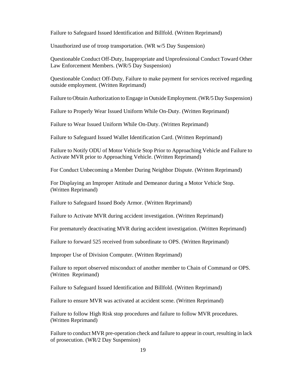Failure to Safeguard Issued Identification and Billfold. (Written Reprimand)

Unauthorized use of troop transportation. (WR w/5 Day Suspension)

Questionable Conduct Off-Duty, Inappropriate and Unprofessional Conduct Toward Other Law Enforcement Members. (WR/5 Day Suspension)

Questionable Conduct Off-Duty, Failure to make payment for services received regarding outside employment. (Written Reprimand)

Failure to Obtain Authorization to Engage in Outside Employment. (WR/5 Day Suspension)

Failure to Properly Wear Issued Uniform While On-Duty. (Written Reprimand)

Failure to Wear Issued Uniform While On-Duty. (Written Reprimand)

Failure to Safeguard Issued Wallet Identification Card. (Written Reprimand)

Failure to Notify ODU of Motor Vehicle Stop Prior to Approaching Vehicle and Failure to Activate MVR prior to Approaching Vehicle. (Written Reprimand)

For Conduct Unbecoming a Member During Neighbor Dispute. (Written Reprimand)

For Displaying an Improper Attitude and Demeanor during a Motor Vehicle Stop. (Written Reprimand)

Failure to Safeguard Issued Body Armor. (Written Reprimand)

Failure to Activate MVR during accident investigation. (Written Reprimand)

For prematurely deactivating MVR during accident investigation. (Written Reprimand)

Failure to forward 525 received from subordinate to OPS. (Written Reprimand)

Improper Use of Division Computer. (Written Reprimand)

Failure to report observed misconduct of another member to Chain of Command or OPS. (Written Reprimand)

Failure to Safeguard Issued Identification and Billfold. (Written Reprimand)

Failure to ensure MVR was activated at accident scene. (Written Reprimand)

Failure to follow High Risk stop procedures and failure to follow MVR procedures. (Written Reprimand)

Failure to conduct MVR pre-operation check and failure to appear in court, resulting in lack of prosecution. (WR/2 Day Suspension)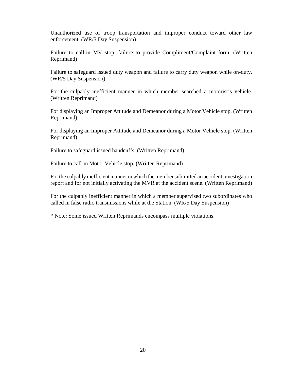Unauthorized use of troop transportation and improper conduct toward other law enforcement. (WR/5 Day Suspension)

Failure to call-in MV stop, failure to provide Compliment/Complaint form. (Written Reprimand)

Failure to safeguard issued duty weapon and failure to carry duty weapon while on-duty. (WR/5 Day Suspension)

For the culpably inefficient manner in which member searched a motorist's vehicle. (Written Reprimand)

For displaying an Improper Attitude and Demeanor during a Motor Vehicle stop. (Written Reprimand)

For displaying an Improper Attitude and Demeanor during a Motor Vehicle stop. (Written Reprimand)

Failure to safeguard issued handcuffs. (Written Reprimand)

Failure to call-in Motor Vehicle stop. (Written Reprimand)

For the culpably inefficient manner in which the member submitted an accident investigation report and for not initially activating the MVR at the accident scene. (Written Reprimand)

For the culpably inefficient manner in which a member supervised two subordinates who called in false radio transmissions while at the Station. (WR/5 Day Suspension)

\* Note: Some issued Written Reprimands encompass multiple violations.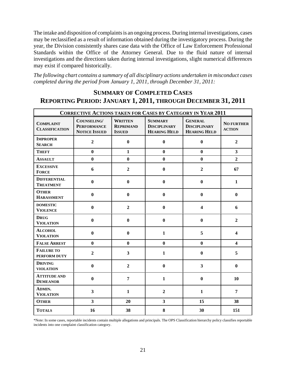The intake and disposition of complaints is an ongoing process. During internal investigations, cases may be reclassified as a result of information obtained during the investigatory process. During the year, the Division consistently shares case data with the Office of Law Enforcement Professional Standards within the Office of the Attorney General. Due to the fluid nature of internal investigations and the directions taken during internal investigations, slight numerical differences may exist if compared historically.

*The following chart contains a summary of all disciplinary actions undertaken in misconduct cases completed during the period from January 1, 2011, through December 31, 2011:* 

# **SUMMARY OF COMPLETED CASES REPORTING PERIOD: JANUARY 1, 2011, THROUGH DECEMBER 31, 2011**

| <b>CORRECTIVE ACTIONS TAKEN FOR CASES BY CATEGORY IN YEAR 2011</b> |                                                           |                                                     |                                                              |                                                              |                                    |  |
|--------------------------------------------------------------------|-----------------------------------------------------------|-----------------------------------------------------|--------------------------------------------------------------|--------------------------------------------------------------|------------------------------------|--|
| <b>COMPLAINT</b><br><b>CLASSIFICATION</b>                          | COUNSELING/<br><b>PERFORMANCE</b><br><b>NOTICE ISSUED</b> | <b>WRITTEN</b><br><b>REPRIMAND</b><br><b>ISSUED</b> | <b>SUMMARY</b><br><b>DISCIPLINARY</b><br><b>HEARING HELD</b> | <b>GENERAL</b><br><b>DISCIPLINARY</b><br><b>HEARING HELD</b> | <b>NO FURTHER</b><br><b>ACTION</b> |  |
| <b>IMPROPER</b><br><b>SEARCH</b>                                   | $\overline{2}$                                            | $\bf{0}$                                            | $\bf{0}$                                                     | $\bf{0}$                                                     | $\overline{2}$                     |  |
| <b>THEFT</b>                                                       | $\bf{0}$                                                  | $\mathbf{1}$                                        | $\bf{0}$                                                     | $\bf{0}$                                                     | $\overline{\mathbf{3}}$            |  |
| <b>ASSAULT</b>                                                     | $\bf{0}$                                                  | $\bf{0}$                                            | $\bf{0}$                                                     | $\bf{0}$                                                     | $\overline{2}$                     |  |
| <b>EXCESSIVE</b><br><b>FORCE</b>                                   | 6                                                         | $\mathbf 2$                                         | $\bf{0}$                                                     | $\overline{2}$                                               | 67                                 |  |
| <b>DIFFERENTIAL</b><br><b>TREATMENT</b>                            | $\bf{0}$                                                  | $\bf{0}$                                            | $\bf{0}$                                                     | $\bf{0}$                                                     | $\mathbf{1}$                       |  |
| <b>OTHER</b><br><b>HARASSMENT</b>                                  | $\bf{0}$                                                  | $\boldsymbol{0}$                                    | $\mathbf{0}$                                                 | $\mathbf{0}$                                                 | $\bf{0}$                           |  |
| <b>DOMESTIC</b><br><b>VIOLENCE</b>                                 | $\bf{0}$                                                  | $\overline{2}$                                      | $\bf{0}$                                                     | $\overline{\mathbf{4}}$                                      | 6                                  |  |
| <b>DRUG</b><br><b>VIOLATION</b>                                    | $\bf{0}$                                                  | $\bf{0}$                                            | $\bf{0}$                                                     | $\bf{0}$                                                     | $\overline{2}$                     |  |
| <b>ALCOHOL</b><br><b>VIOLATION</b>                                 | $\bf{0}$                                                  | $\bf{0}$                                            | $\mathbf{1}$                                                 | 5                                                            | $\overline{\mathbf{4}}$            |  |
| <b>FALSE ARREST</b>                                                | $\bf{0}$                                                  | $\bf{0}$                                            | $\bf{0}$                                                     | $\mathbf{0}$                                                 | $\overline{\mathbf{4}}$            |  |
| <b>FAILURE TO</b><br>PERFORM DUTY                                  | $\overline{2}$                                            | $\mathbf{3}$                                        | $\mathbf{1}$                                                 | $\bf{0}$                                                     | 5                                  |  |
| <b>DRIVING</b><br><b>VIOLATION</b>                                 | $\bf{0}$                                                  | $\overline{2}$                                      | $\boldsymbol{0}$                                             | $\overline{\mathbf{3}}$                                      | $\bf{0}$                           |  |
| <b>ATTITUDE AND</b><br><b>DEMEANOR</b>                             | $\bf{0}$                                                  | $\overline{7}$                                      | $\mathbf{1}$                                                 | $\bf{0}$                                                     | 10                                 |  |
| ADMIN.<br><b>VIOLATION</b>                                         | $\mathbf{3}$                                              | $\mathbf{1}$                                        | $\overline{2}$                                               | $\mathbf{1}$                                                 | 7                                  |  |
| <b>OTHER</b>                                                       | $\overline{\mathbf{3}}$                                   | 20                                                  | $\overline{\mathbf{3}}$                                      | 15                                                           | 38                                 |  |
| <b>TOTALS</b>                                                      | 16                                                        | 38                                                  | 8                                                            | 30                                                           | 151                                |  |

\*Note: In some cases, reportable incidents contain multiple allegations and principals. The OPS Classification hierarchy policy classifies reportable incidents into one complaint classification category.